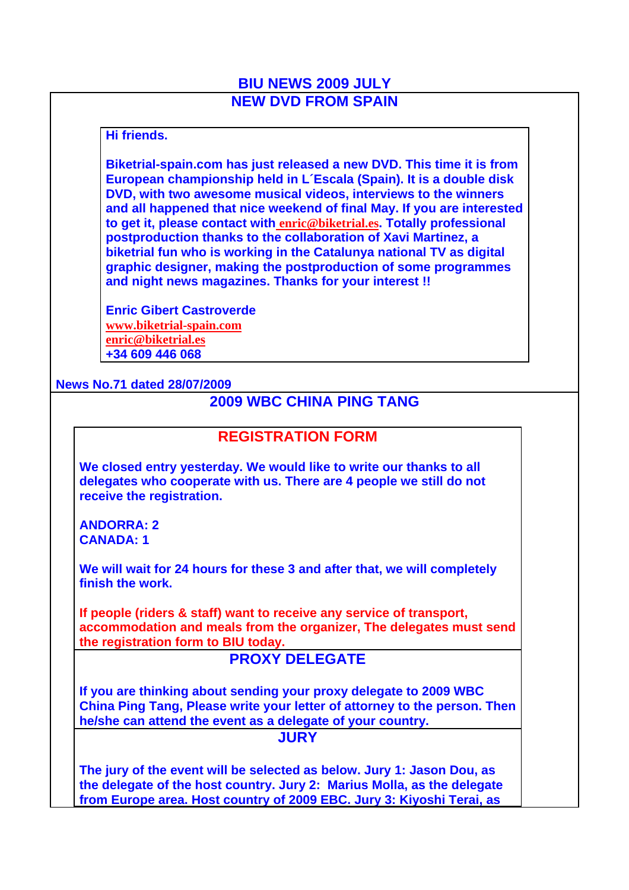# **BIU NEWS 2009 JULY NEW DVD FROM SPAIN**

#### **Hi friends.**

**Biketrial-spain.com has just released a new DVD. This time it is from European championship held in L´Escala (Spain). It is a double disk DVD, with two awesome musical videos, interviews to the winners and all happened that nice weekend of final May. If you are interested to get it, please contact with enric@biketrial.es. Totally professional postproduction thanks to the collaboration of Xavi Martinez, a biketrial fun who is working in the Catalunya national TV as digital graphic designer, making the postproduction of some programmes and night news magazines. Thanks for your interest !!** 

**Enric Gibert Castroverde www.biketrial-spain.com enric@biketrial.es +34 609 446 068**

#### **News No.71 dated 28/07/2009**

# **2009 WBC CHINA PING TANG**

#### **REGISTRATION FORM**

**We closed entry yesterday. We would like to write our thanks to all delegates who cooperate with us. There are 4 people we still do not receive the registration.** 

**ANDORRA: 2 CANADA: 1**

**We will wait for 24 hours for these 3 and after that, we will completely finish the work.** 

**If people (riders & staff) want to receive any service of transport, accommodation and meals from the organizer, The delegates must send the registration form to BIU today.** 

### **PROXY DELEGATE**

**If you are thinking about sending your proxy delegate to 2009 WBC China Ping Tang, Please write your letter of attorney to the person. Then he/she can attend the event as a delegate of your country.**

**JURY**

**The jury of the event will be selected as below. Jury 1: Jason Dou, as the delegate of the host country. Jury 2: Marius Molla, as the delegate from Europe area. Host country of 2009 EBC. Jury 3: Kiyoshi Terai, as**